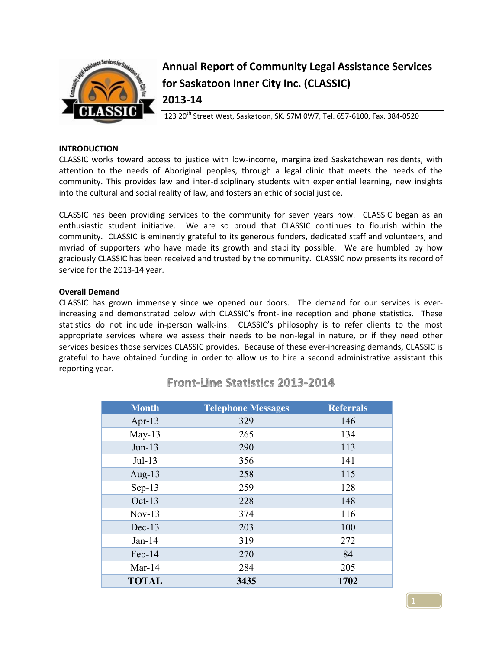

# **Annual Report of Community Legal Assistance Services for Saskatoon Inner City Inc. (CLASSIC) 2013-14**

123 20<sup>th</sup> Street West, Saskatoon, SK, S7M 0W7, Tel. 657-6100, Fax. 384-0520

## **INTRODUCTION**

CLASSIC works toward access to justice with low-income, marginalized Saskatchewan residents, with attention to the needs of Aboriginal peoples, through a legal clinic that meets the needs of the community. This provides law and inter-disciplinary students with experiential learning, new insights into the cultural and social reality of law, and fosters an ethic of social justice.

CLASSIC has been providing services to the community for seven years now. CLASSIC began as an enthusiastic student initiative. We are so proud that CLASSIC continues to flourish within the community. CLASSIC is eminently grateful to its generous funders, dedicated staff and volunteers, and myriad of supporters who have made its growth and stability possible. We are humbled by how graciously CLASSIC has been received and trusted by the community. CLASSIC now presents its record of service for the 2013-14 year.

## **Overall Demand**

CLASSIC has grown immensely since we opened our doors. The demand for our services is everincreasing and demonstrated below with CLASSIC's front-line reception and phone statistics. These statistics do not include in-person walk-ins. CLASSIC's philosophy is to refer clients to the most appropriate services where we assess their needs to be non-legal in nature, or if they need other services besides those services CLASSIC provides. Because of these ever-increasing demands, CLASSIC is grateful to have obtained funding in order to allow us to hire a second administrative assistant this reporting year.

| <b>Month</b> | <b>Telephone Messages</b> | <b>Referrals</b> |
|--------------|---------------------------|------------------|
| Apr-13       | 329                       | 146              |
| $May-13$     | 265                       | 134              |
| $Jun-13$     | 290                       | 113              |
| $Jul-13$     | 356                       | 141              |
| Aug-13       | 258                       | 115              |
| $Sep-13$     | 259                       | 128              |
| $Oct-13$     | 228                       | 148              |
| $Nov-13$     | 374                       | 116              |
| $Dec-13$     | 203                       | 100              |
| $Jan-14$     | 319                       | 272              |
| Feb-14       | 270                       | 84               |
| Mar- $14$    | 284                       | 205              |
| <b>TOTAL</b> | 3435                      | 1702             |

# **Front-Line Statistics 2013-2014**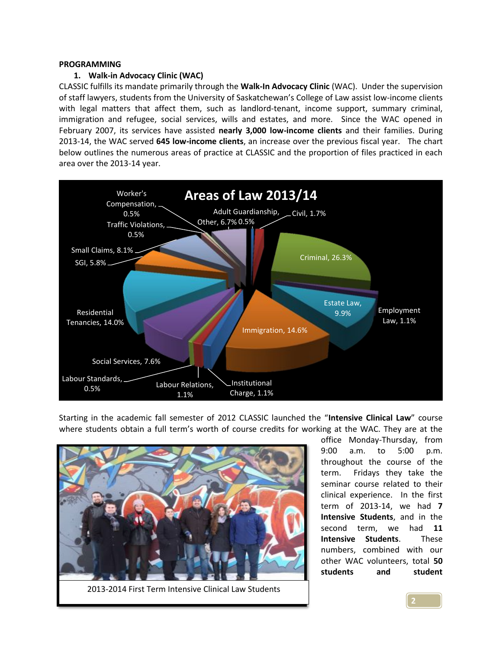## **PROGRAMMING**

## **1. Walk-in Advocacy Clinic (WAC)**

CLASSIC fulfills its mandate primarily through the **Walk-In Advocacy Clinic** (WAC). Under the supervision of staff lawyers, students from the University of Saskatchewan's College of Law assist low-income clients with legal matters that affect them, such as landlord-tenant, income support, summary criminal, immigration and refugee, social services, wills and estates, and more. Since the WAC opened in February 2007, its services have assisted **nearly 3,000 low-income clients** and their families. During 2013-14, the WAC served **645 low-income clients**, an increase over the previous fiscal year. The chart below outlines the numerous areas of practice at CLASSIC and the proportion of files practiced in each area over the 2013-14 year.



Starting in the academic fall semester of 2012 CLASSIC launched the "**Intensive Clinical Law**" course where students obtain a full term's worth of course credits for working at the WAC. They are at the



2013-2014 First Term Intensive Clinical Law Students

office Monday-Thursday, from 9:00 a.m. to 5:00 p.m. throughout the course of the term. Fridays they take the seminar course related to their clinical experience. In the first term of 2013-14, we had **7 Intensive Students**, and in the second term, we had **11 Intensive Students**. These numbers, combined with our other WAC volunteers, total **50 students and student**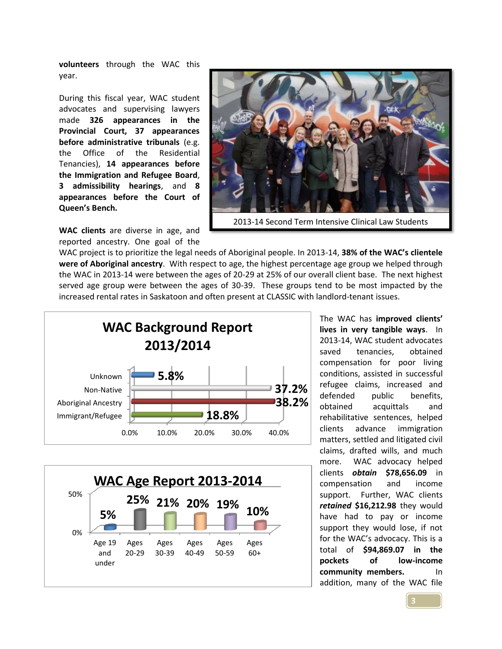**volunteers** through the WAC this year.

During this fiscal year, WAC student advocates and supervising lawyers made **326 appearances in the Provincial Court, 37 appearances before administrative tribunals** (e.g. the Office of the Residential Tenancies), **14 appearances before the Immigration and Refugee Board**, **3 admissibility hearings**, and **8 appearances before the Court of Queen's Bench.**

**WAC clients** are diverse in age, and reported ancestry. One goal of the



WAC project is to prioritize the legal needs of Aboriginal people. In 2013-14, **38% of the WAC's clientele were of Aboriginal ancestry**. With respect to age, the highest percentage age group we helped through the WAC in 2013-14 were between the ages of 20-29 at 25% of our overall client base. The next highest served age group were between the ages of 30-39. These groups tend to be most impacted by the increased rental rates in Saskatoon and often present at CLASSIC with landlord-tenant issues.





The WAC has **improved clients' lives in very tangible ways**. In 2013-14, WAC student advocates saved tenancies, obtained compensation for poor living conditions, assisted in successful refugee claims, increased and defended public benefits, obtained acquittals and rehabilitative sentences, helped clients advance immigration matters, settled and litigated civil claims, drafted wills, and much more. WAC advocacy helped clients *obtain* **\$78,656.09** in compensation and income support. Further, WAC clients *retained* **\$16,212.98** they would have had to pay or income support they would lose, if not for the WAC's advocacy. This is a total of **\$94,869.07 in the pockets of low-income community members.** In addition, many of the WAC file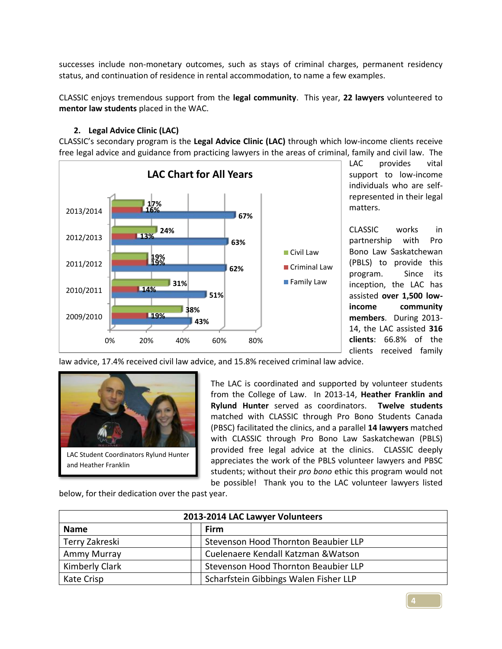successes include non-monetary outcomes, such as stays of criminal charges, permanent residency status, and continuation of residence in rental accommodation, to name a few examples.

CLASSIC enjoys tremendous support from the **legal community**. This year, **22 lawyers** volunteered to **mentor law students** placed in the WAC.

# **2. Legal Advice Clinic (LAC)**

CLASSIC's secondary program is the **Legal Advice Clinic (LAC)** through which low-income clients receive free legal advice and guidance from practicing lawyers in the areas of criminal, family and civil law. The



LAC provides vital support to low-income individuals who are selfrepresented in their legal matters.

CLASSIC works in partnership with Pro Bono Law Saskatchewan (PBLS) to provide this program. Since its inception, the LAC has assisted **over 1,500 lowincome community members**. During 2013- 14, the LAC assisted **316 clients**: 66.8% of the clients received family

law advice, 17.4% received civil law advice, and 15.8% received criminal law advice.



The LAC is coordinated and supported by volunteer students from the College of Law. In 2013-14, **Heather Franklin and Rylund Hunter** served as coordinators. **Twelve students** matched with CLASSIC through Pro Bono Students Canada (PBSC) facilitated the clinics, and a parallel **14 lawyers** matched with CLASSIC through Pro Bono Law Saskatchewan (PBLS) provided free legal advice at the clinics. CLASSIC deeply appreciates the work of the PBLS volunteer lawyers and PBSC students; without their *pro bono* ethic this program would not be possible! Thank you to the LAC volunteer lawyers listed

below, for their dedication over the past year.

| 2013-2014 LAC Lawyer Volunteers |                                       |  |  |
|---------------------------------|---------------------------------------|--|--|
| <b>Name</b>                     | Firm                                  |  |  |
| Terry Zakreski                  | Stevenson Hood Thornton Beaubier LLP  |  |  |
| Ammy Murray                     | Cuelenaere Kendall Katzman & Watson   |  |  |
| Kimberly Clark                  | Stevenson Hood Thornton Beaubier LLP  |  |  |
| Kate Crisp                      | Scharfstein Gibbings Walen Fisher LLP |  |  |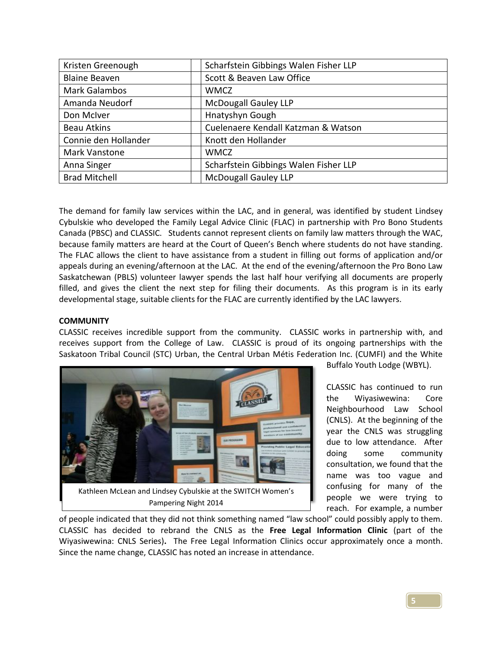| Kristen Greenough    | Scharfstein Gibbings Walen Fisher LLP |
|----------------------|---------------------------------------|
| <b>Blaine Beaven</b> | Scott & Beaven Law Office             |
| <b>Mark Galambos</b> | <b>WMCZ</b>                           |
| Amanda Neudorf       | <b>McDougall Gauley LLP</b>           |
| Don McIver           | Hnatyshyn Gough                       |
| <b>Beau Atkins</b>   | Cuelenaere Kendall Katzman & Watson   |
| Connie den Hollander | Knott den Hollander                   |
| Mark Vanstone        | <b>WMCZ</b>                           |
| Anna Singer          | Scharfstein Gibbings Walen Fisher LLP |
| <b>Brad Mitchell</b> | <b>McDougall Gauley LLP</b>           |

The demand for family law services within the LAC, and in general, was identified by student Lindsey Cybulskie who developed the Family Legal Advice Clinic (FLAC) in partnership with Pro Bono Students Canada (PBSC) and CLASSIC. Students cannot represent clients on family law matters through the WAC, because family matters are heard at the Court of Queen's Bench where students do not have standing. The FLAC allows the client to have assistance from a student in filling out forms of application and/or appeals during an evening/afternoon at the LAC. At the end of the evening/afternoon the Pro Bono Law Saskatchewan (PBLS) volunteer lawyer spends the last half hour verifying all documents are properly filled, and gives the client the next step for filing their documents. As this program is in its early developmental stage, suitable clients for the FLAC are currently identified by the LAC lawyers.

# **COMMUNITY**

CLASSIC receives incredible support from the community. CLASSIC works in partnership with, and receives support from the College of Law. CLASSIC is proud of its ongoing partnerships with the Saskatoon Tribal Council (STC) Urban, the Central Urban Métis Federation Inc. (CUMFI) and the White



Buffalo Youth Lodge (WBYL).

CLASSIC has continued to run the Wiyasiwewina: Core Neighbourhood Law School (CNLS). At the beginning of the year the CNLS was struggling due to low attendance. After doing some community consultation, we found that the name was too vague and confusing for many of the people we were trying to reach. For example, a number

of people indicated that they did not think something named "law school" could possibly apply to them. CLASSIC has decided to rebrand the CNLS as the **Free Legal Information Clinic** (part of the Wiyasiwewina: CNLS Series)**.** The Free Legal Information Clinics occur approximately once a month. Since the name change, CLASSIC has noted an increase in attendance.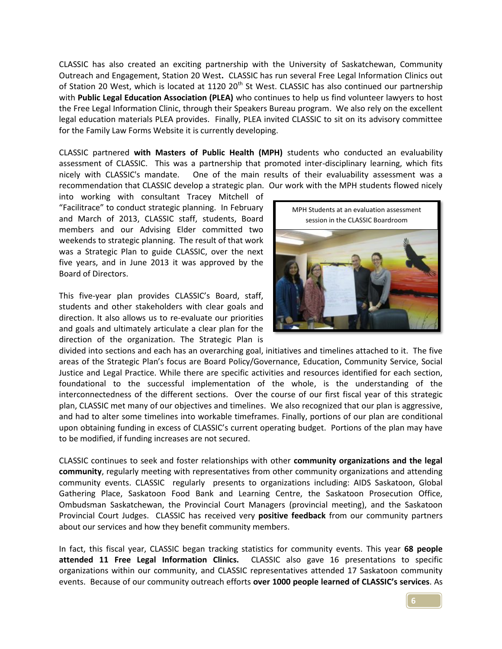CLASSIC has also created an exciting partnership with the University of Saskatchewan, Community Outreach and Engagement, Station 20 West**.** CLASSIC has run several Free Legal Information Clinics out of Station 20 West, which is located at 1120 20<sup>th</sup> St West. CLASSIC has also continued our partnership with **Public Legal Education Association (PLEA)** who continues to help us find volunteer lawyers to host the Free Legal Information Clinic, through their Speakers Bureau program. We also rely on the excellent legal education materials PLEA provides. Finally, PLEA invited CLASSIC to sit on its advisory committee for the Family Law Forms Website it is currently developing.

CLASSIC partnered **with Masters of Public Health (MPH)** students who conducted an evaluability assessment of CLASSIC. This was a partnership that promoted inter-disciplinary learning, which fits nicely with CLASSIC's mandate. One of the main results of their evaluability assessment was a recommendation that CLASSIC develop a strategic plan. Our work with the MPH students flowed nicely

into working with consultant Tracey Mitchell of "Facilitrace" to conduct strategic planning. In February and March of 2013, CLASSIC staff, students, Board members and our Advising Elder committed two weekends to strategic planning. The result of that work was a Strategic Plan to guide CLASSIC, over the next five years, and in June 2013 it was approved by the Board of Directors.

This five-year plan provides CLASSIC's Board, staff, students and other stakeholders with clear goals and direction. It also allows us to re-evaluate our priorities and goals and ultimately articulate a clear plan for the direction of the organization. The Strategic Plan is



divided into sections and each has an overarching goal, initiatives and timelines attached to it. The five areas of the Strategic Plan's focus are Board Policy/Governance, Education, Community Service, Social Justice and Legal Practice. While there are specific activities and resources identified for each section, foundational to the successful implementation of the whole, is the understanding of the interconnectedness of the different sections. Over the course of our first fiscal year of this strategic plan, CLASSIC met many of our objectives and timelines. We also recognized that our plan is aggressive, and had to alter some timelines into workable timeframes. Finally, portions of our plan are conditional upon obtaining funding in excess of CLASSIC's current operating budget. Portions of the plan may have to be modified, if funding increases are not secured.

CLASSIC continues to seek and foster relationships with other **community organizations and the legal community**, regularly meeting with representatives from other community organizations and attending community events. CLASSIC regularly presents to organizations including: AIDS Saskatoon, Global Gathering Place, Saskatoon Food Bank and Learning Centre, the Saskatoon Prosecution Office, Ombudsman Saskatchewan, the Provincial Court Managers (provincial meeting), and the Saskatoon Provincial Court Judges. CLASSIC has received very **positive feedback** from our community partners about our services and how they benefit community members.

In fact, this fiscal year, CLASSIC began tracking statistics for community events. This year **68 people attended 11 Free Legal Information Clinics.** CLASSIC also gave 16 presentations to specific organizations within our community, and CLASSIC representatives attended 17 Saskatoon community events. Because of our community outreach efforts **over 1000 people learned of CLASSIC's services**. As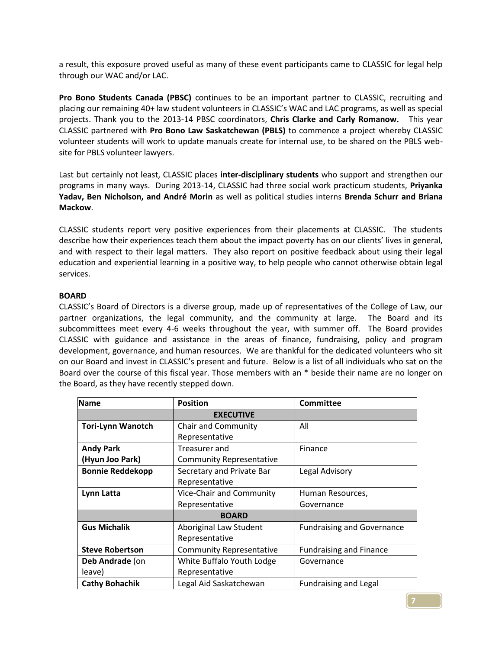a result, this exposure proved useful as many of these event participants came to CLASSIC for legal help through our WAC and/or LAC.

**Pro Bono Students Canada (PBSC)** continues to be an important partner to CLASSIC, recruiting and placing our remaining 40+ law student volunteers in CLASSIC's WAC and LAC programs, as well as special projects. Thank you to the 2013-14 PBSC coordinators, **Chris Clarke and Carly Romanow.** This year CLASSIC partnered with **Pro Bono Law Saskatchewan (PBLS)** to commence a project whereby CLASSIC volunteer students will work to update manuals create for internal use, to be shared on the PBLS website for PBLS volunteer lawyers.

Last but certainly not least, CLASSIC places **inter-disciplinary students** who support and strengthen our programs in many ways. During 2013-14, CLASSIC had three social work practicum students, **Priyanka Yadav, Ben Nicholson, and André Morin** as well as political studies interns **Brenda Schurr and Briana Mackow**.

CLASSIC students report very positive experiences from their placements at CLASSIC. The students describe how their experiences teach them about the impact poverty has on our clients' lives in general, and with respect to their legal matters. They also report on positive feedback about using their legal education and experiential learning in a positive way, to help people who cannot otherwise obtain legal services.

## **BOARD**

CLASSIC's Board of Directors is a diverse group, made up of representatives of the College of Law, our partner organizations, the legal community, and the community at large. The Board and its subcommittees meet every 4-6 weeks throughout the year, with summer off. The Board provides CLASSIC with guidance and assistance in the areas of finance, fundraising, policy and program development, governance, and human resources. We are thankful for the dedicated volunteers who sit on our Board and invest in CLASSIC's present and future. Below is a list of all individuals who sat on the Board over the course of this fiscal year. Those members with an \* beside their name are no longer on the Board, as they have recently stepped down.

| <b>Name</b>              | <b>Position</b>                 | <b>Committee</b>                  |
|--------------------------|---------------------------------|-----------------------------------|
|                          | <b>EXECUTIVE</b>                |                                   |
| <b>Tori-Lynn Wanotch</b> | Chair and Community             | All                               |
|                          | Representative                  |                                   |
| <b>Andy Park</b>         | Treasurer and                   | Finance                           |
| (Hyun Joo Park)          | <b>Community Representative</b> |                                   |
| <b>Bonnie Reddekopp</b>  | Secretary and Private Bar       | Legal Advisory                    |
|                          | Representative                  |                                   |
| Lynn Latta               | Vice-Chair and Community        | Human Resources,                  |
|                          | Representative                  | Governance                        |
|                          | <b>BOARD</b>                    |                                   |
| <b>Gus Michalik</b>      | Aboriginal Law Student          | <b>Fundraising and Governance</b> |
|                          | Representative                  |                                   |
| <b>Steve Robertson</b>   | <b>Community Representative</b> | <b>Fundraising and Finance</b>    |
| Deb Andrade (on          | White Buffalo Youth Lodge       | Governance                        |
| leave)                   | Representative                  |                                   |
| <b>Cathy Bohachik</b>    | Legal Aid Saskatchewan          | <b>Fundraising and Legal</b>      |

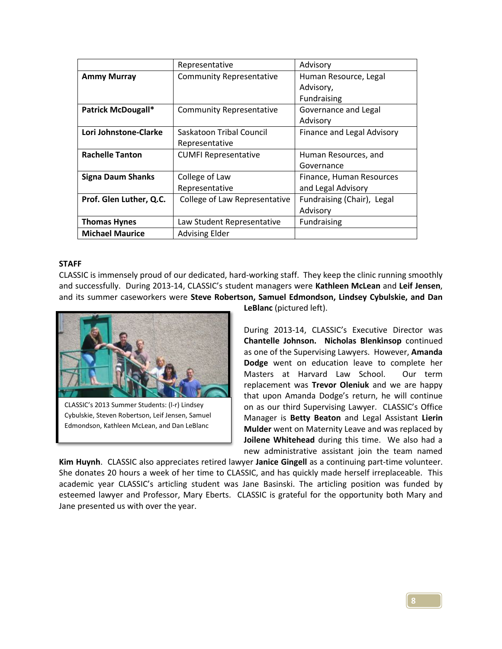|                           | Representative                  | Advisory                   |
|---------------------------|---------------------------------|----------------------------|
| <b>Ammy Murray</b>        | <b>Community Representative</b> | Human Resource, Legal      |
|                           |                                 | Advisory,                  |
|                           |                                 | Fundraising                |
| <b>Patrick McDougall*</b> | <b>Community Representative</b> | Governance and Legal       |
|                           |                                 | Advisory                   |
| Lori Johnstone-Clarke     | Saskatoon Tribal Council        | Finance and Legal Advisory |
|                           | Representative                  |                            |
| <b>Rachelle Tanton</b>    | <b>CUMFI Representative</b>     | Human Resources, and       |
|                           |                                 | Governance                 |
| <b>Signa Daum Shanks</b>  | College of Law                  | Finance, Human Resources   |
|                           | Representative                  | and Legal Advisory         |
| Prof. Glen Luther, Q.C.   | College of Law Representative   | Fundraising (Chair), Legal |
|                           |                                 | Advisory                   |
| <b>Thomas Hynes</b>       | Law Student Representative      | <b>Fundraising</b>         |
| <b>Michael Maurice</b>    | <b>Advising Elder</b>           |                            |

## **STAFF**

CLASSIC is immensely proud of our dedicated, hard-working staff. They keep the clinic running smoothly and successfully. During 2013-14, CLASSIC's student managers were **Kathleen McLean** and **Leif Jensen**, and its summer caseworkers were **Steve Robertson, Samuel Edmondson, Lindsey Cybulskie, and Dan** 



CLASSIC's 2013 Summer Students: (l-r) Lindsey Cybulskie, Steven Robertson, Leif Jensen, Samuel Edmondson, Kathleen McLean, and Dan LeBlanc

**LeBlanc** (pictured left).

During 2013-14, CLASSIC's Executive Director was **Chantelle Johnson. Nicholas Blenkinsop** continued as one of the Supervising Lawyers. However, **Amanda Dodge** went on education leave to complete her Masters at Harvard Law School. Our term replacement was **Trevor Oleniuk** and we are happy that upon Amanda Dodge's return, he will continue on as our third Supervising Lawyer. CLASSIC's Office Manager is **Betty Beaton** and Legal Assistant **Lierin Mulder** went on Maternity Leave and was replaced by **Joilene Whitehead** during this time. We also had a new administrative assistant join the team named

**Kim Huynh**. CLASSIC also appreciates retired lawyer **Janice Gingell** as a continuing part-time volunteer. She donates 20 hours a week of her time to CLASSIC, and has quickly made herself irreplaceable. This academic year CLASSIC's articling student was Jane Basinski. The articling position was funded by esteemed lawyer and Professor, Mary Eberts. CLASSIC is grateful for the opportunity both Mary and Jane presented us with over the year.